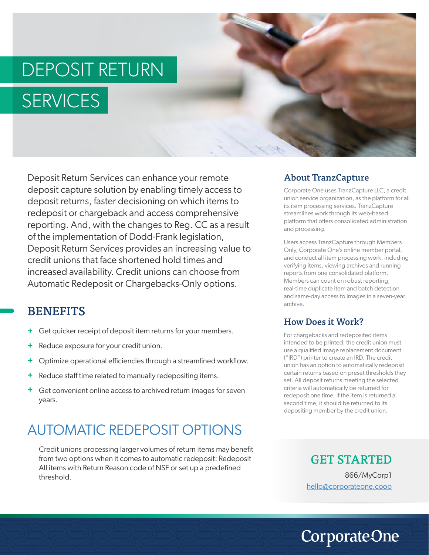# DEPOSIT RETURN **SERVICES**



Deposit Return Services can enhance your remote deposit capture solution by enabling timely access to deposit returns, faster decisioning on which items to redeposit or chargeback and access comprehensive reporting. And, with the changes to Reg. CC as a result of the implementation of Dodd-Frank legislation, Deposit Return Services provides an increasing value to credit unions that face shortened hold times and increased availability. Credit unions can choose from Automatic Redeposit or Chargebacks-Only options.

#### **BENEFITS**

- Get quicker receipt of deposit item returns for your members. **+**
- Reduce exposure for your credit union. **+**
- Optimize operational efficiencies through a streamlined workflow. **+**
- Reduce staff time related to manually redepositing items. **+**
- Get convenient online access to archived return images for seven **+** years.

## AUTOMATIC REDEPOSIT OPTIONS

Credit unions processing larger volumes of return items may benefit from two options when it comes to automatic redeposit: Redeposit All items with Return Reason code of NSF or set up a predefined threshold.

#### About TranzCapture

Corporate One uses TranzCapture LLC, a credit union service organization, as the platform for all its item processing services. TranzCapture streamlines work through its web-based platform that offers consolidated administration and processing.

Users access TranzCapture through Members Only, Corporate One's online member portal, and conduct all item processing work, including verifying items, viewing archives and running reports from one consolidated platform. Members can count on robust reporting, real-time duplicate item and batch detection and same-day access to images in a seven-year archive.

#### How Does it Work?

For chargebacks and redeposited items intended to be printed, the credit union must use a qualified image replacement document ("IRD") printer to create an IRD. The credit union has an option to automatically redeposit certain returns based on preset thresholds they set. All deposit returns meeting the selected criteria will automatically be returned for redeposit one time. If the item is returned a second time, it should be returned to its depositing member by the credit union.

#### GET STARTED

866/MyCorp1 hello@corporateone.coop

# **CorporateOne**